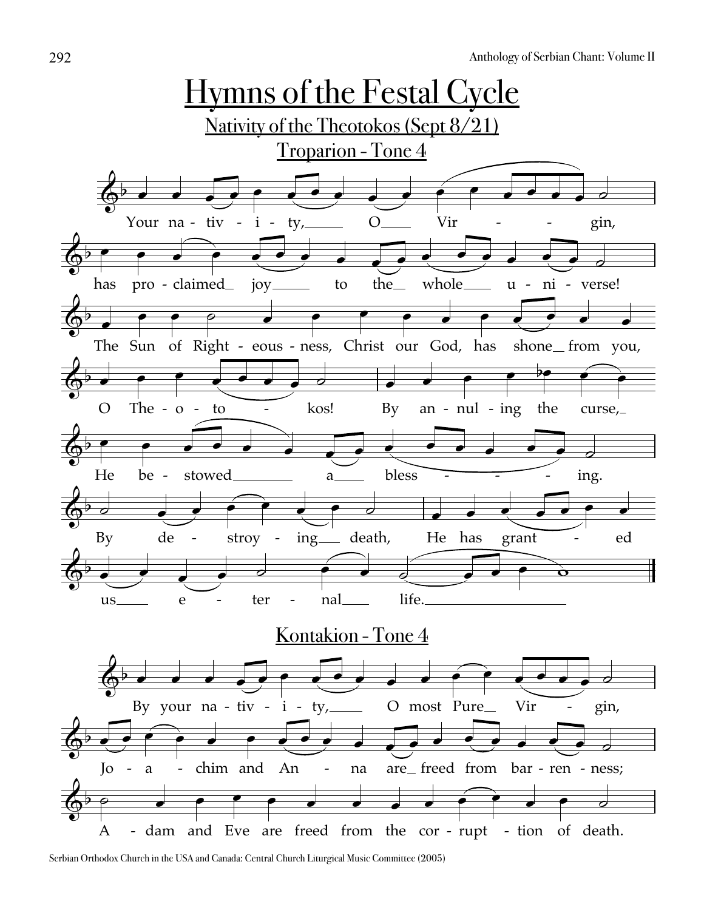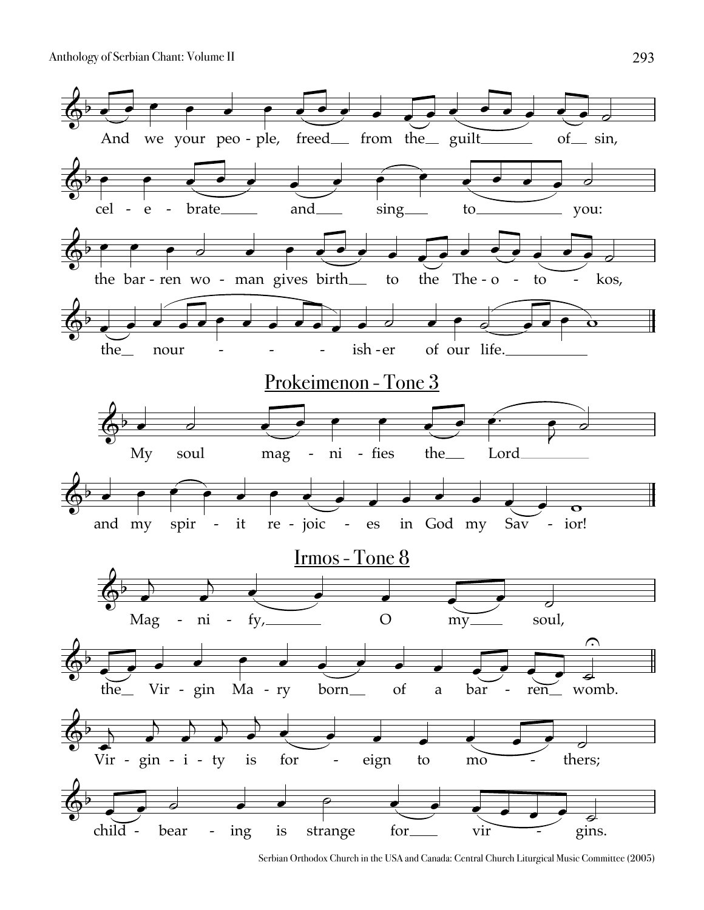

Serbian Orthodox Church in the USA and Canada: Central Church Liturgical Music Committee (2005)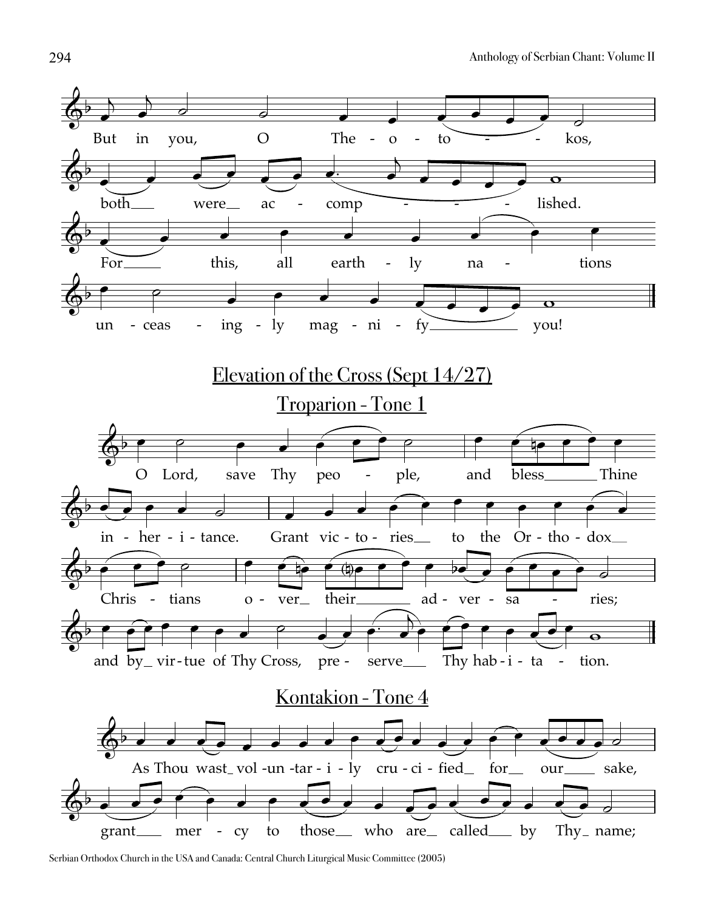

Serbian Orthodox Church in the USA and Canada: Central Church Liturgical Music Committee (2005)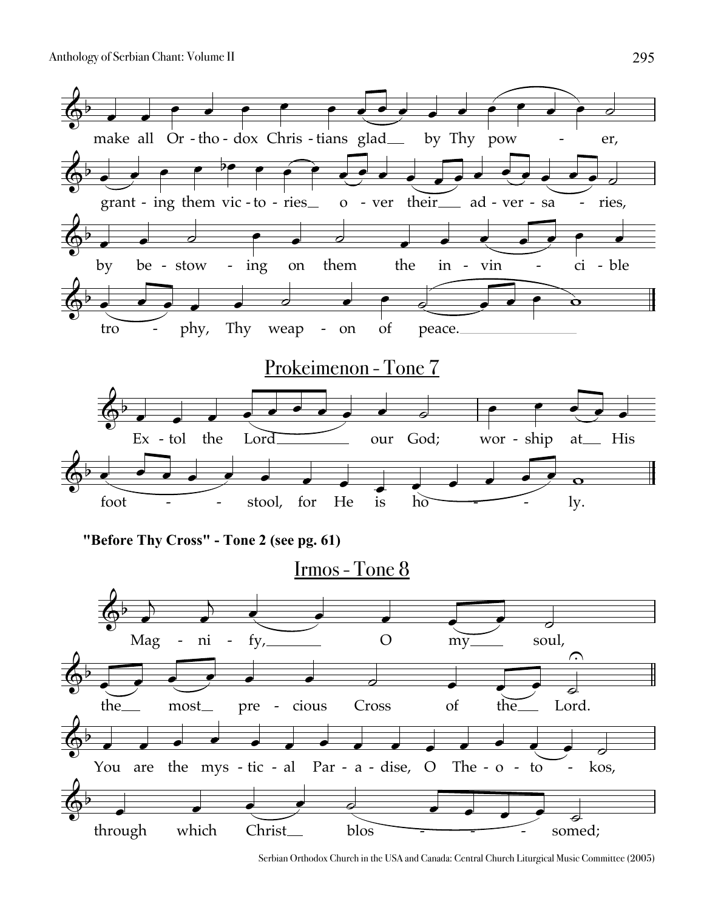

Serbian Orthodox Church in the USA and Canada: Central Church Liturgical Music Committee (2005)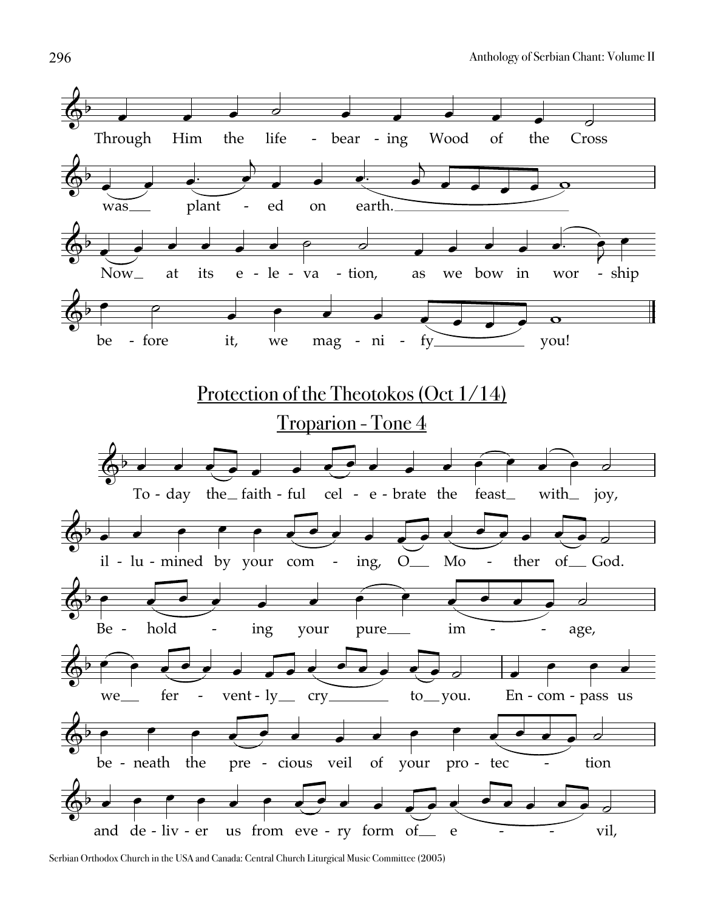

Serbian Orthodox Church in the USA and Canada: Central Church Liturgical Music Committee (2005)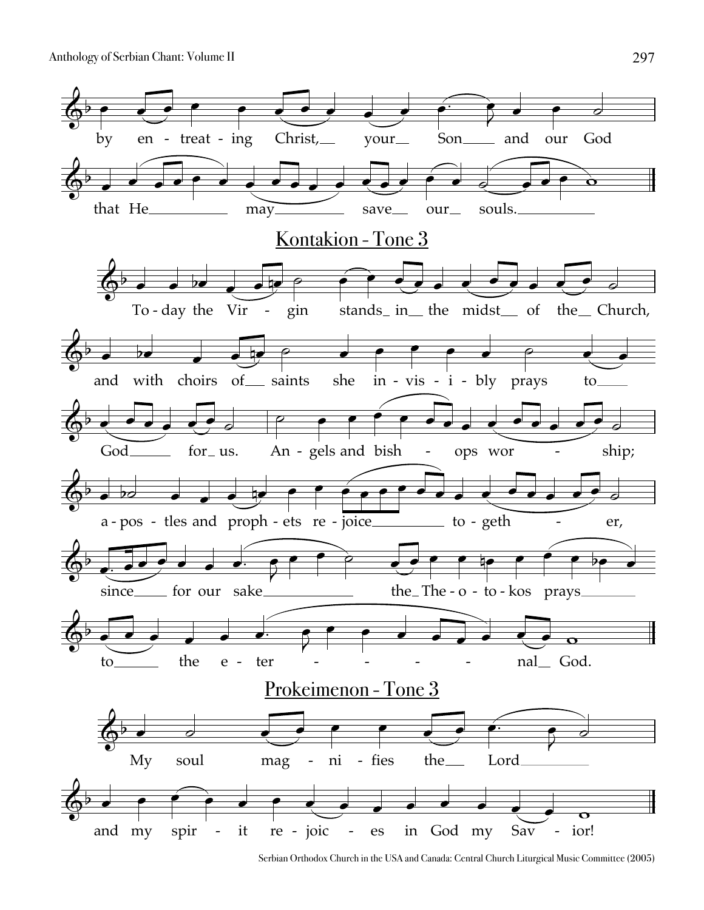

Serbian Orthodox Church in the USA and Canada: Central Church Liturgical Music Committee (2005)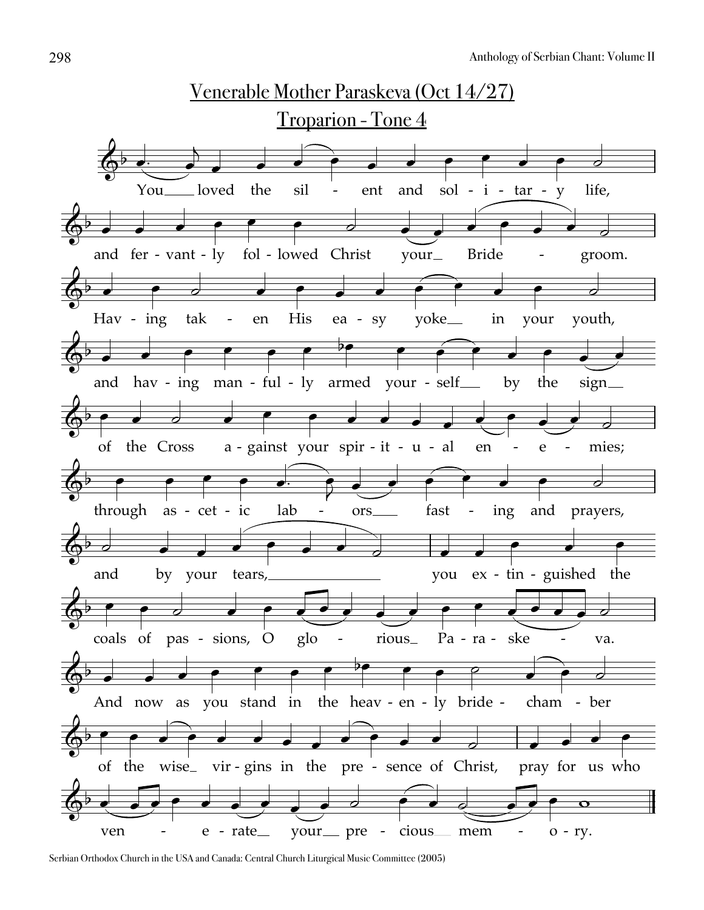

Serbian Orthodox Church in the USA and Canada: Central Church Liturgical Music Committee (2005)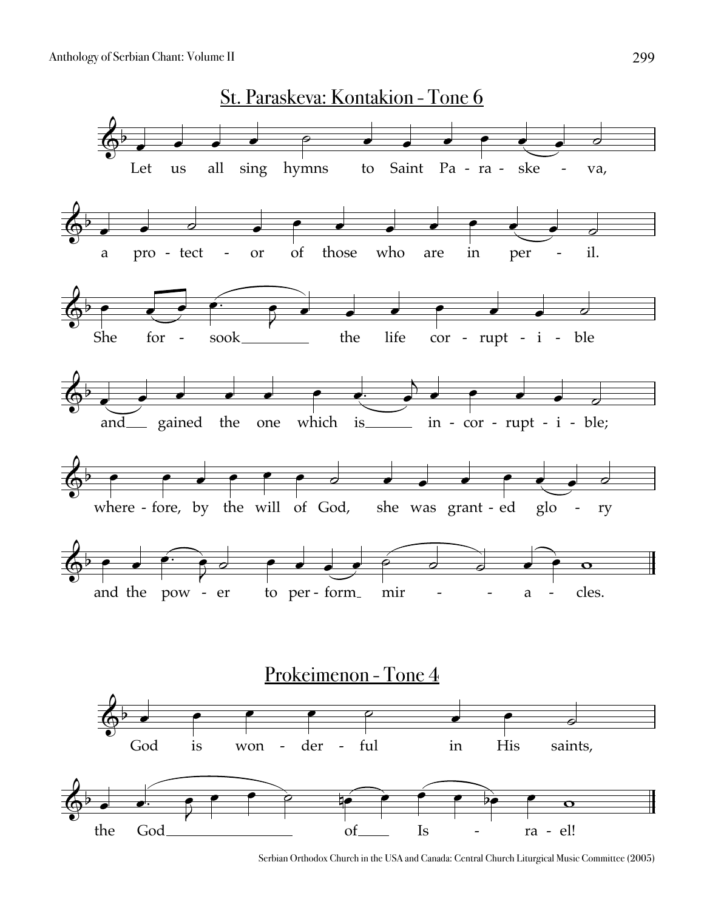

Serbian Orthodox Church in the USA and Canada: Central Church Liturgical Music Committee (2005)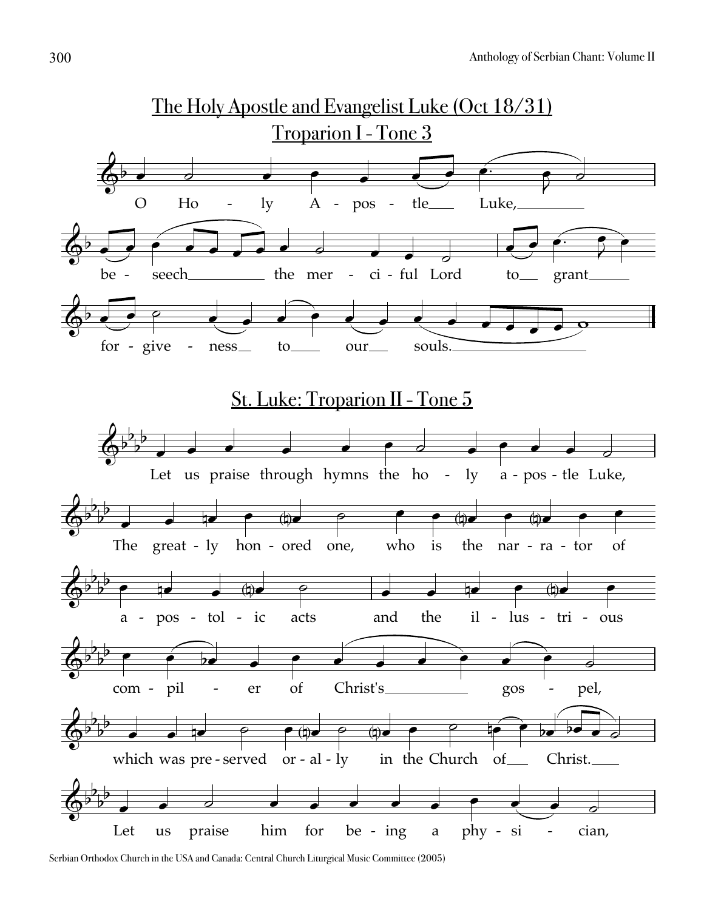

Serbian Orthodox Church in the USA and Canada: Central Church Liturgical Music Committee (2005)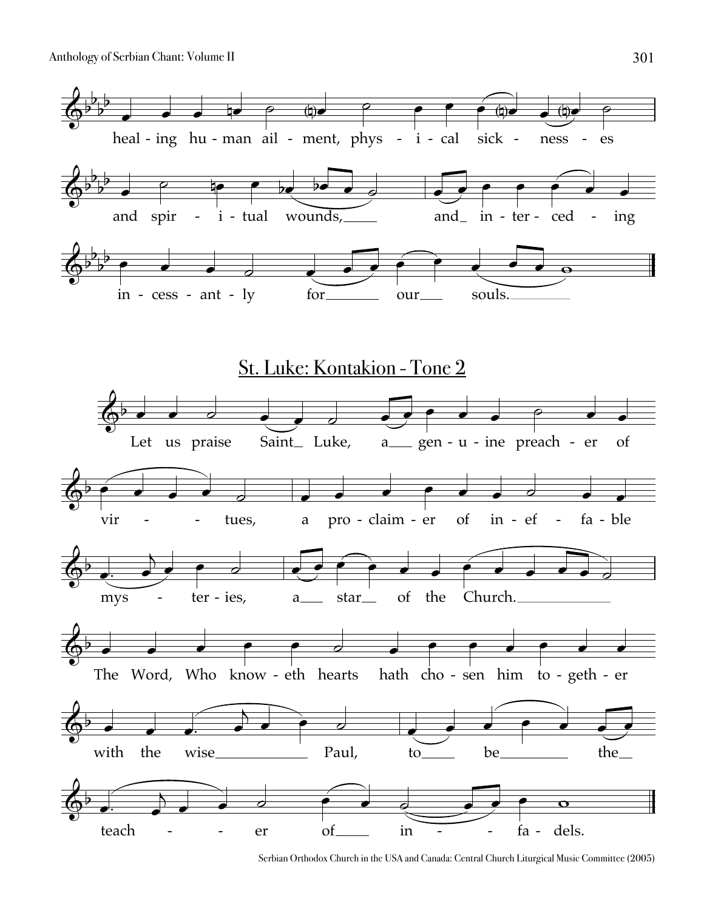

Serbian Orthodox Church in the USA and Canada: Central Church Liturgical Music Committee (2005)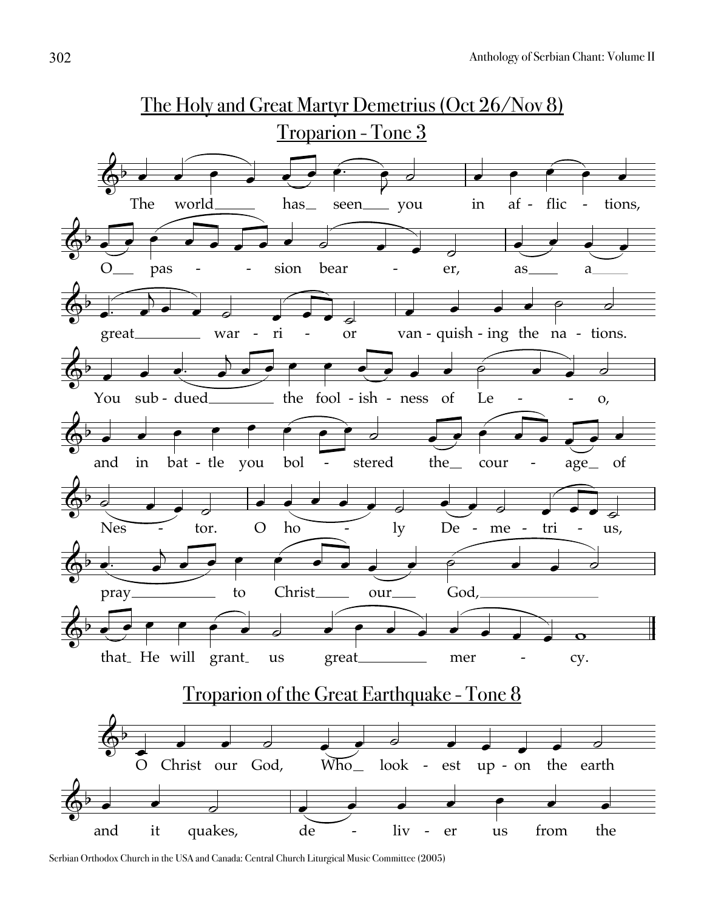

Serbian Orthodox Church in the USA and Canada: Central Church Liturgical Music Committee (2005)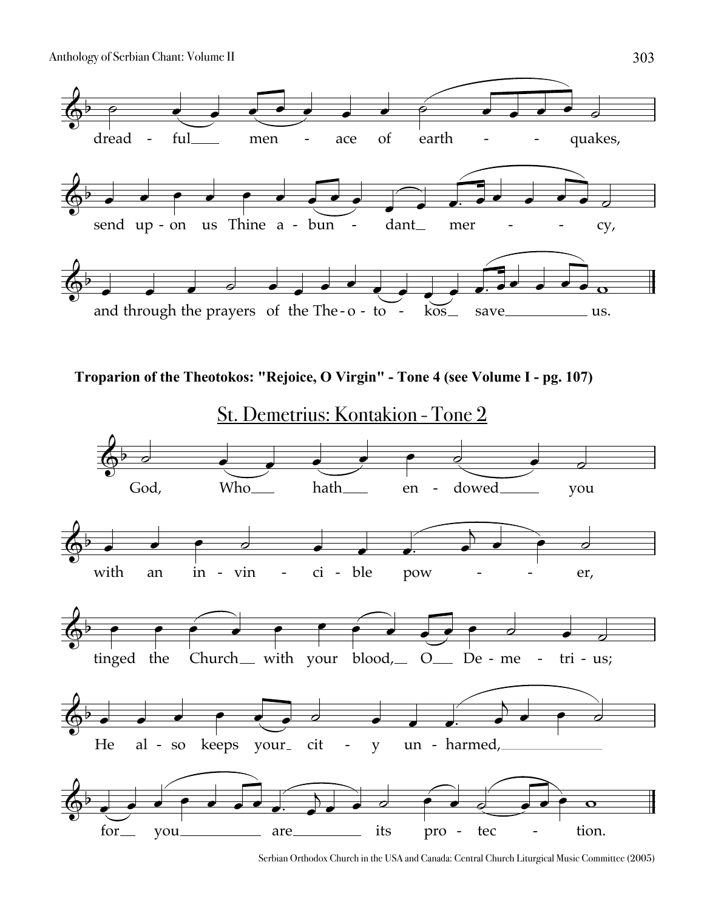

```
Troparion of the Theotokos: "Rejoice, O Virgin" - Tone 4 (see Volume I - pg. 107)
```


Serbian Orthodox Church in the USA and Canada: Central Church Liturgical Music Committee (2005)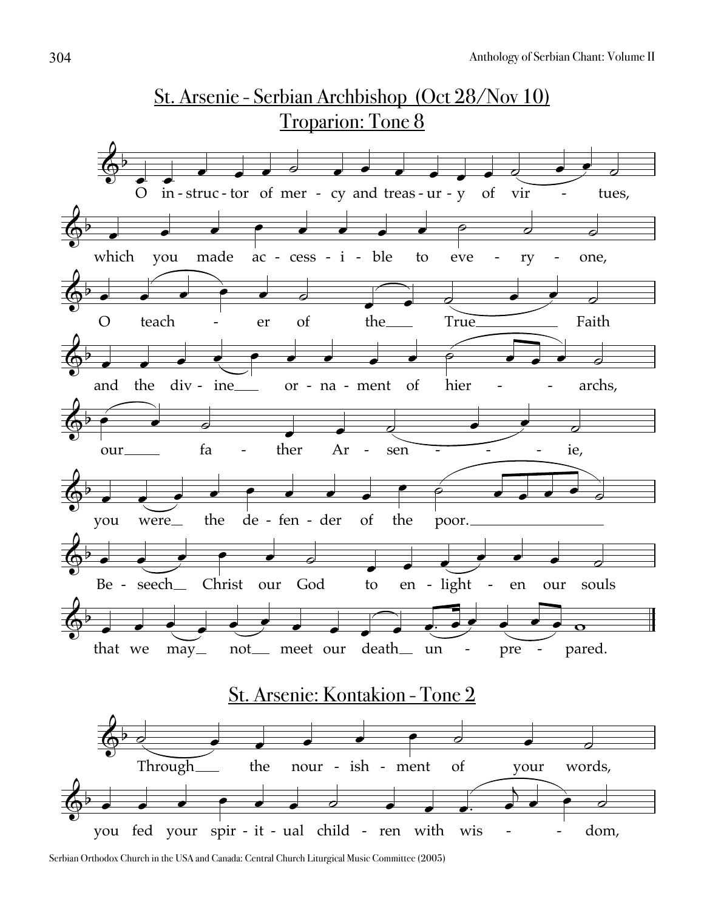

Serbian Orthodox Church in the USA and Canada: Central Church Liturgical Music Committee (2005)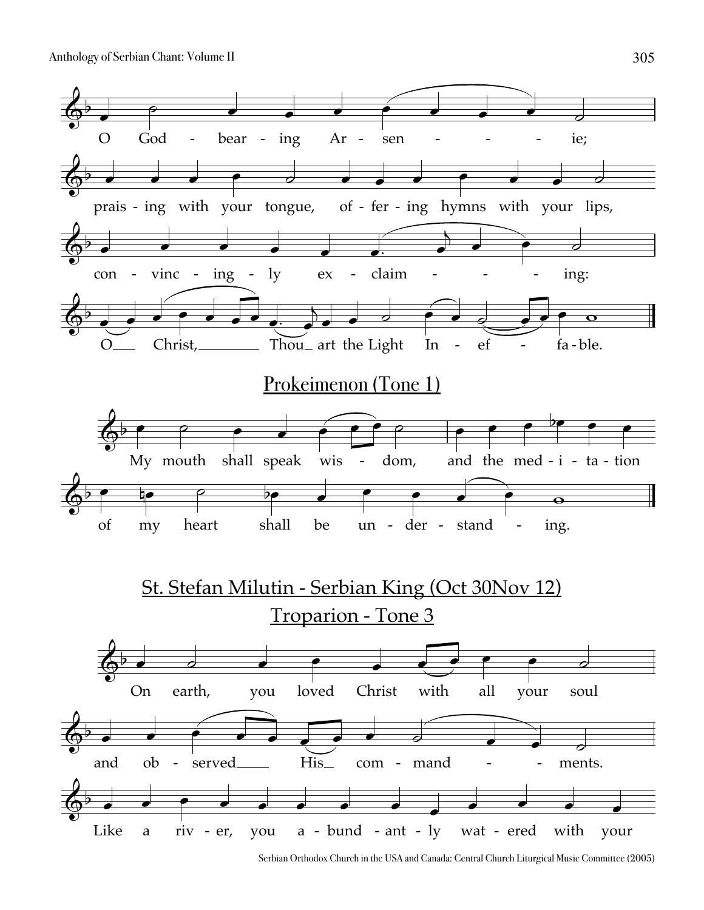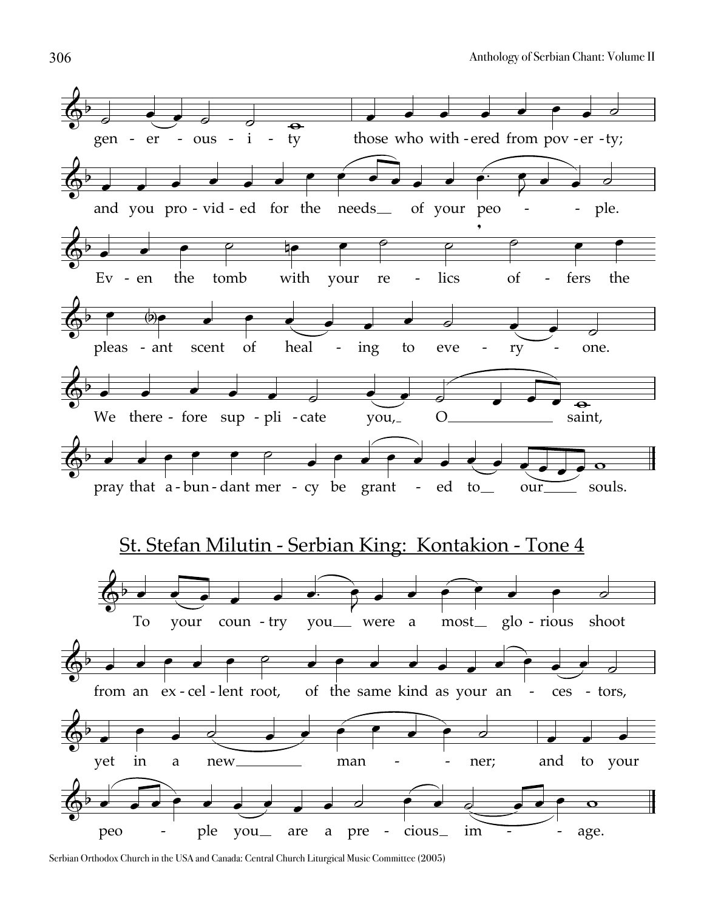

Serbian Orthodox Church in the USA and Canada: Central Church Liturgical Music Committee (2005)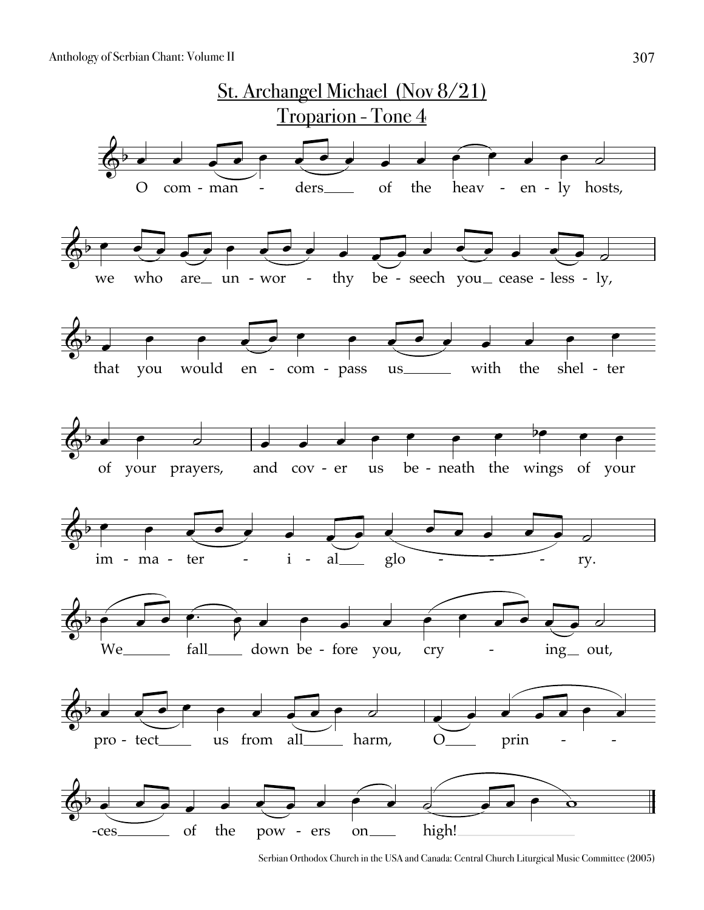

Serbian Orthodox Church in the USA and Canada: Central Church Liturgical Music Committee (2005)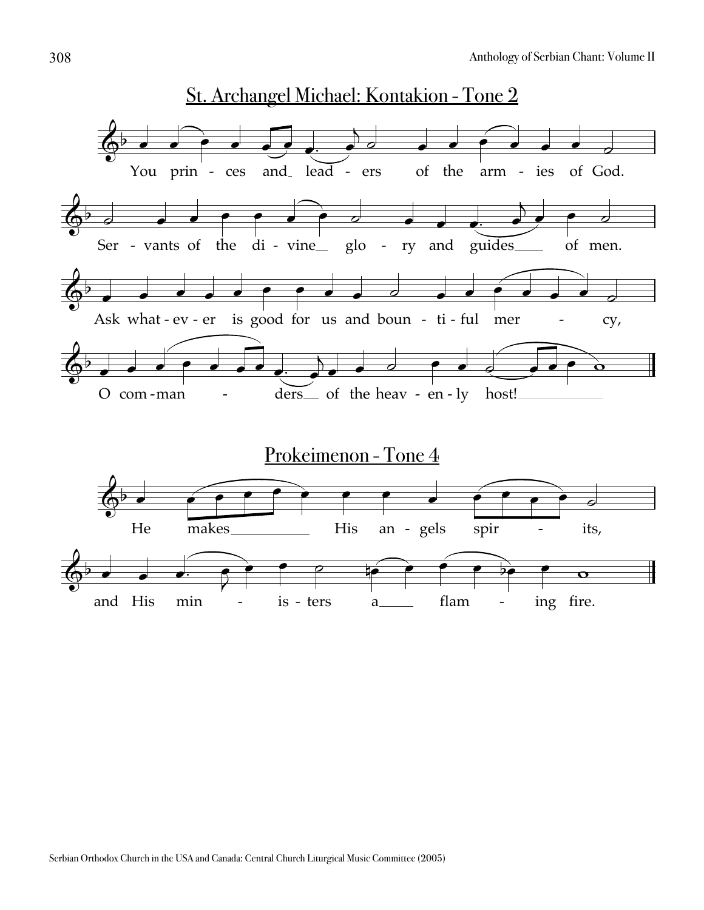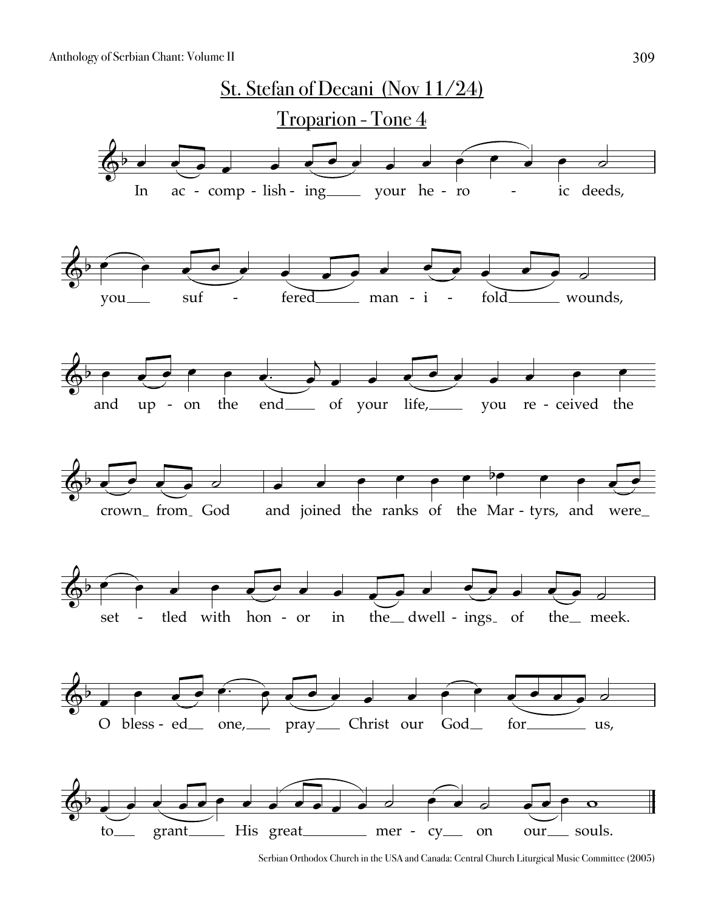

Serbian Orthodox Church in the USA and Canada: Central Church Liturgical Music Committee (2005)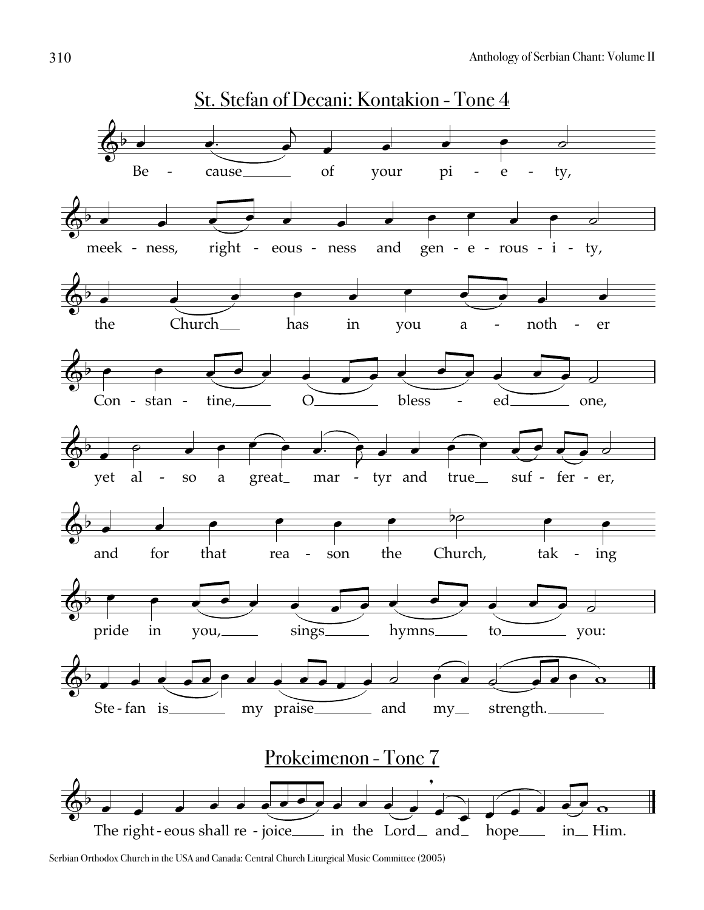

Serbian Orthodox Church in the USA and Canada: Central Church Liturgical Music Committee (2005)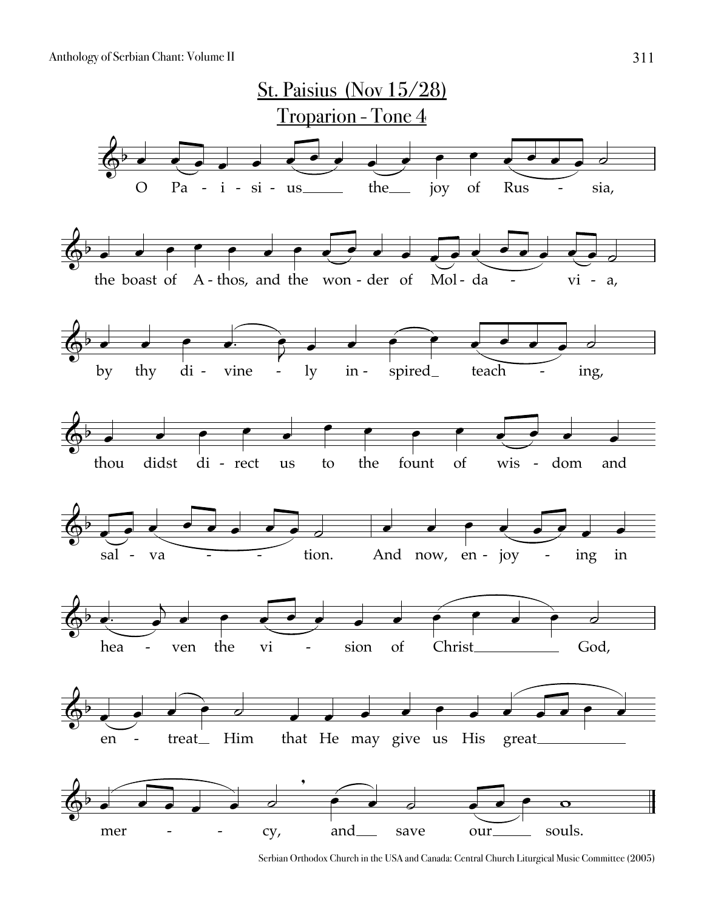

Serbian Orthodox Church in the USA and Canada: Central Church Liturgical Music Committee (2005)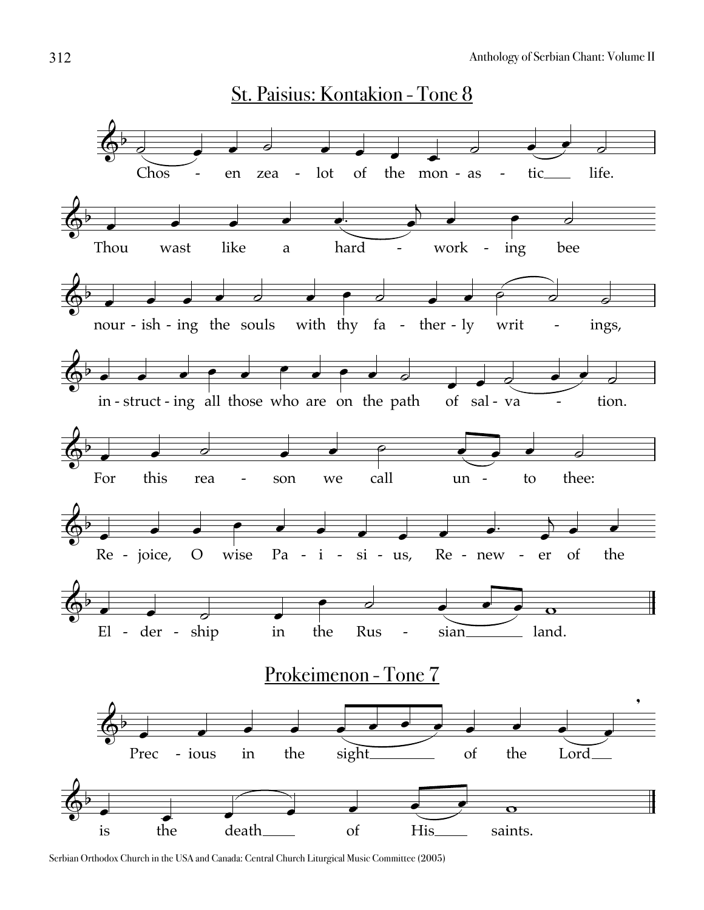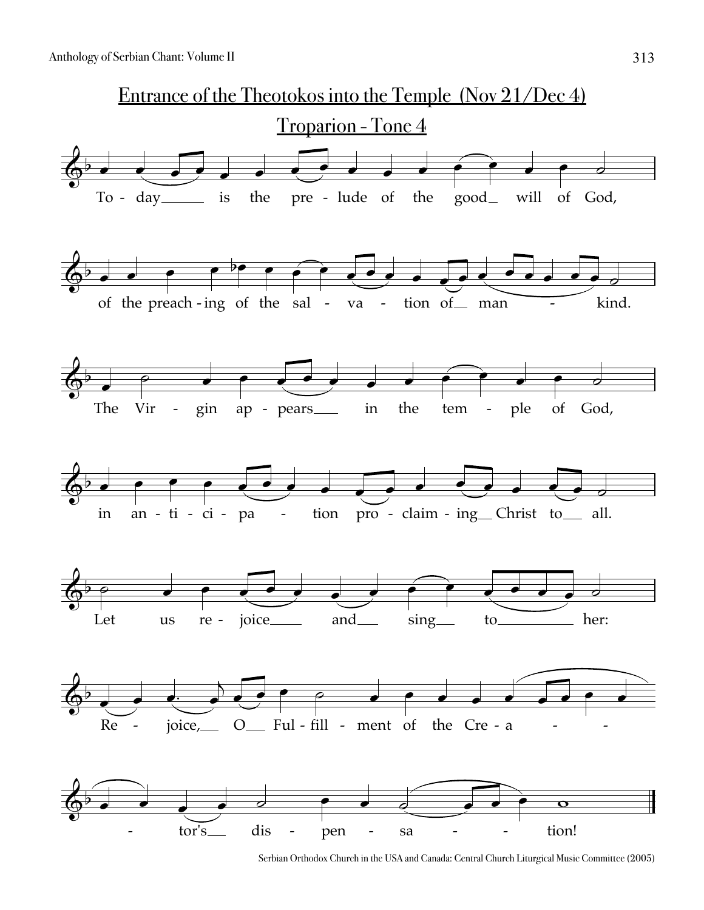

Serbian Orthodox Church in the USA and Canada: Central Church Liturgical Music Committee (2005)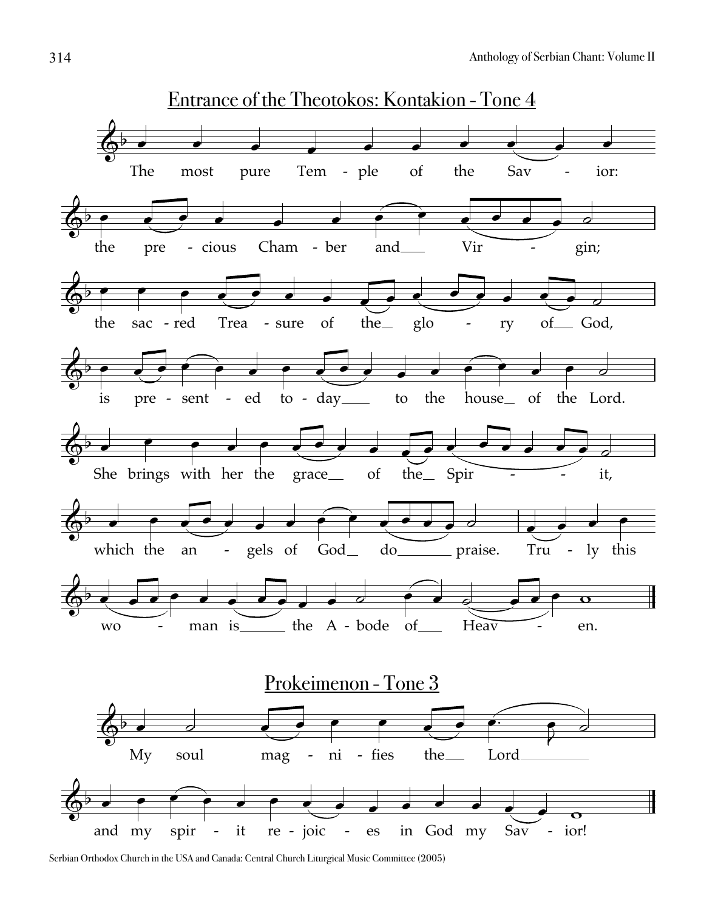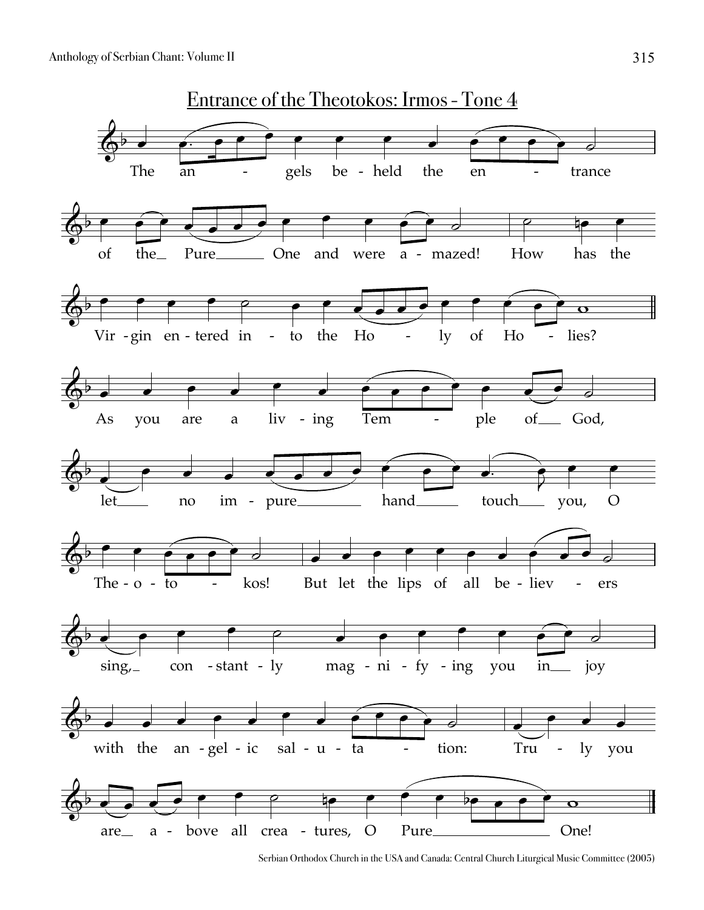

Serbian Orthodox Church in the USA and Canada: Central Church Liturgical Music Committee (2005)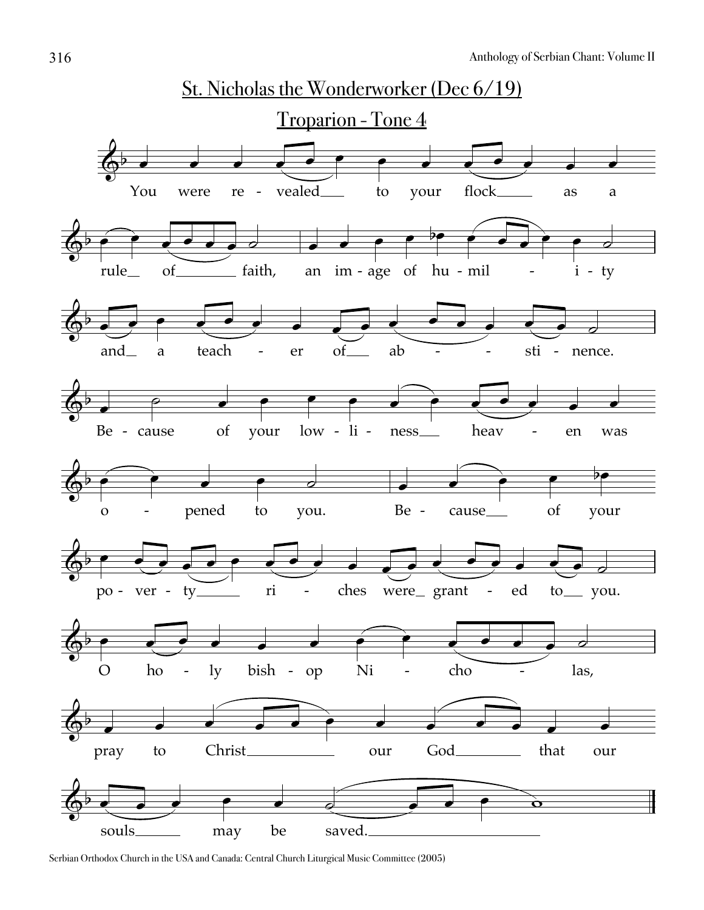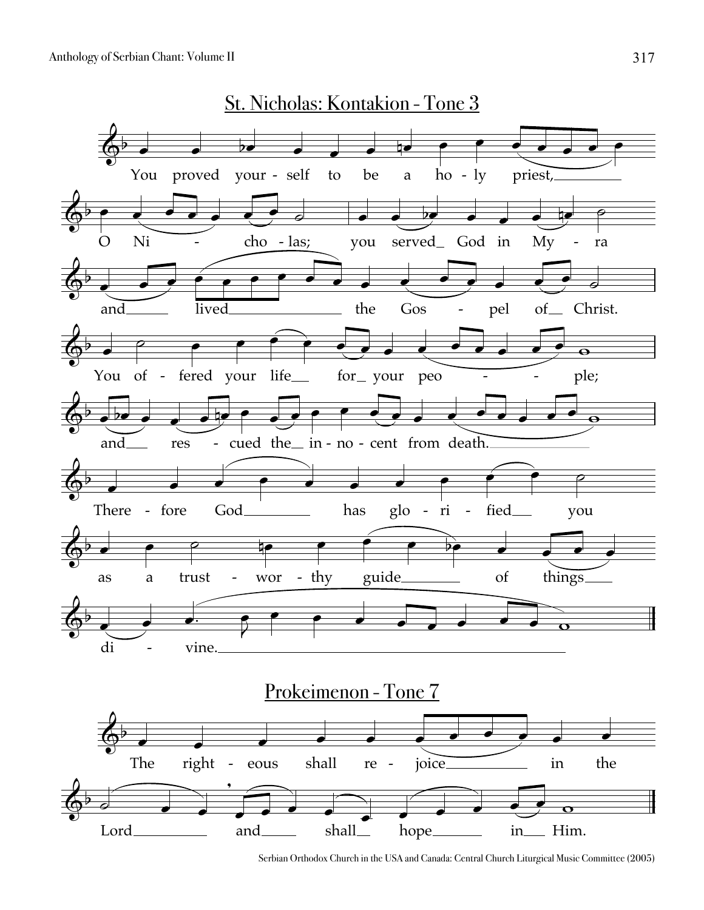

Serbian Orthodox Church in the USA and Canada: Central Church Liturgical Music Committee (2005)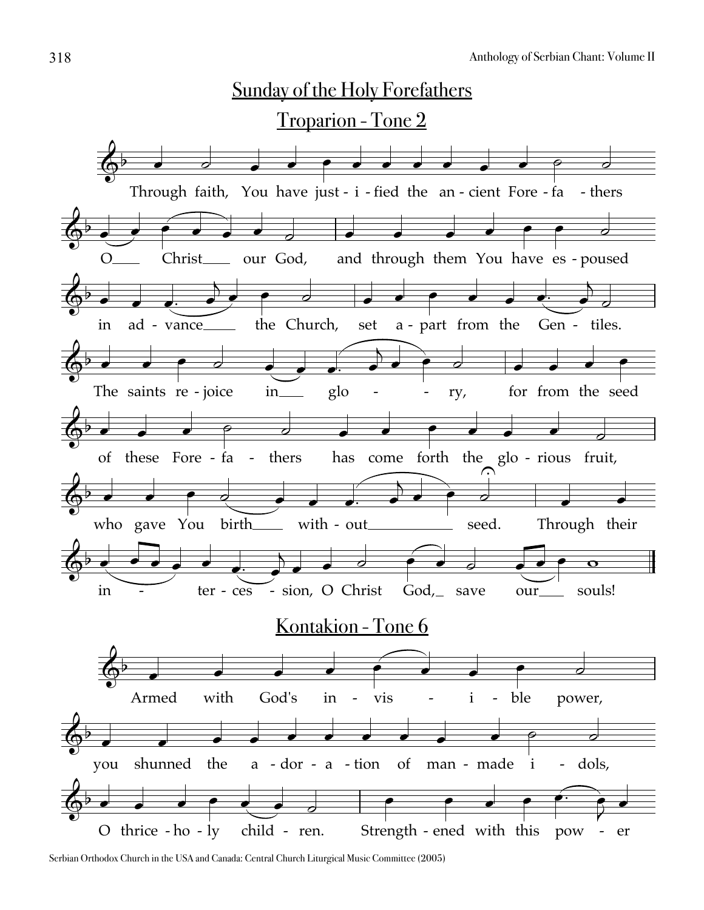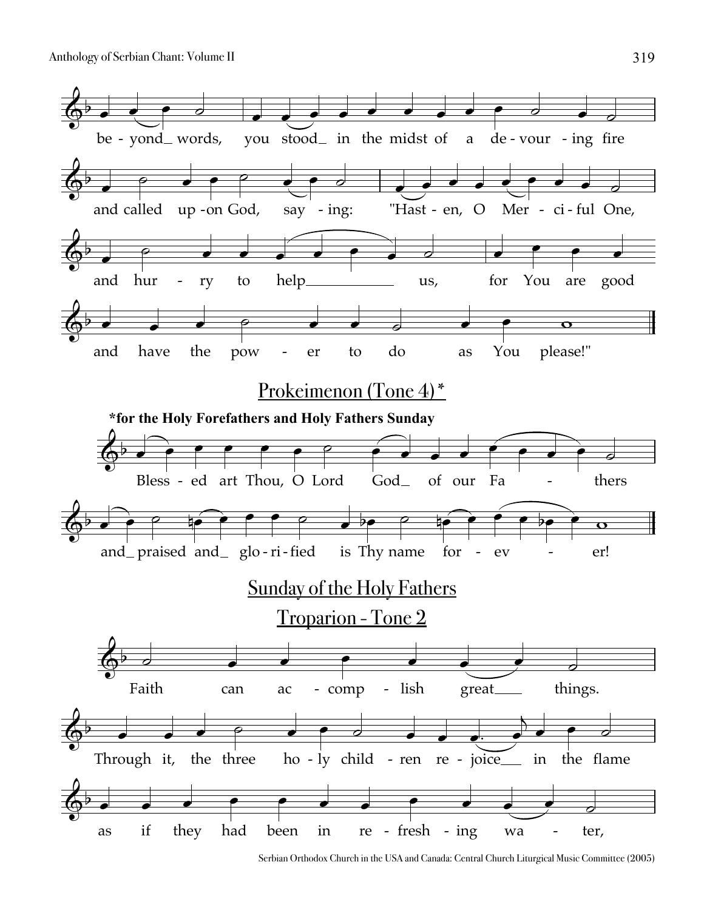

Serbian Orthodox Church in the USA and Canada: Central Church Liturgical Music Committee (2005)